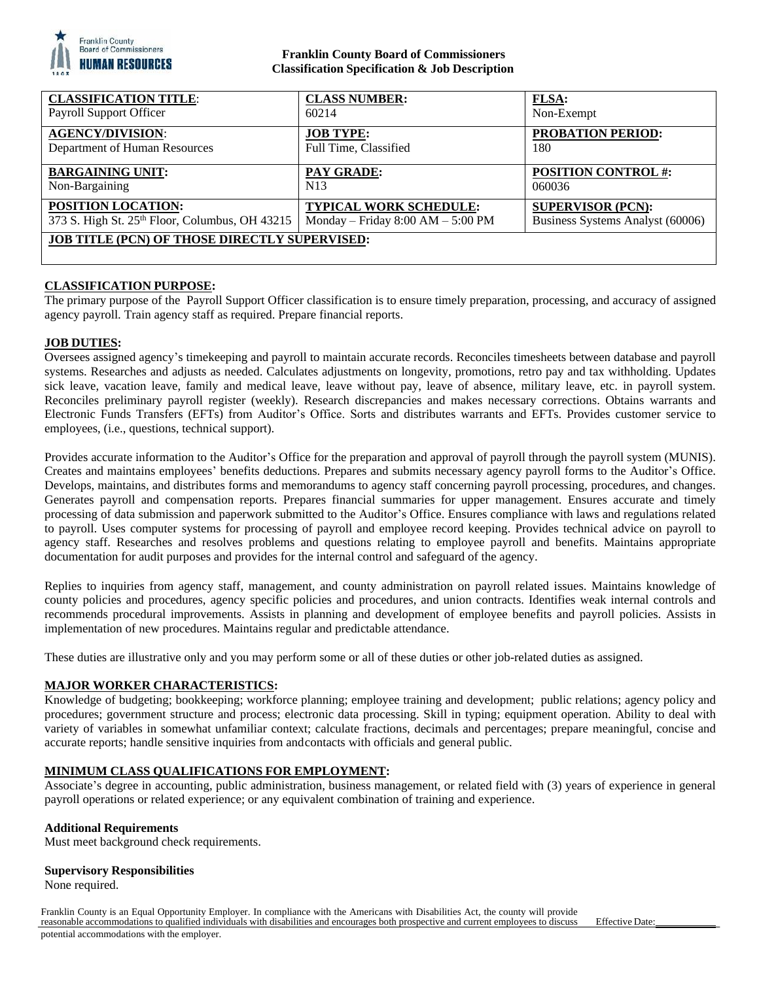

## **Franklin County Board of Commissioners Classification Specification & Job Description**

| <b>CLASSIFICATION TITLE:</b>                         | <b>CLASS NUMBER:</b>                | FLSA:                            |
|------------------------------------------------------|-------------------------------------|----------------------------------|
| Payroll Support Officer                              | 60214                               | Non-Exempt                       |
| <b>AGENCY/DIVISION:</b>                              | <b>JOB TYPE:</b>                    | PROBATION PERIOD:                |
| Department of Human Resources                        | Full Time, Classified               | 180                              |
| <b>BARGAINING UNIT:</b>                              | PAY GRADE:                          | <b>POSITION CONTROL#:</b>        |
| Non-Bargaining                                       | N <sub>13</sub>                     | 060036                           |
| POSITION LOCATION:                                   | TYPICAL WORK SCHEDULE:              | <b>SUPERVISOR (PCN):</b>         |
| 373 S. High St. 25th Floor, Columbus, OH 43215       | Monday – Friday $8:00 AM - 5:00 PM$ | Business Systems Analyst (60006) |
| <b>JOB TITLE (PCN) OF THOSE DIRECTLY SUPERVISED:</b> |                                     |                                  |

## **CLASSIFICATION PURPOSE:**

The primary purpose of the Payroll Support Officer classification is to ensure timely preparation, processing, and accuracy of assigned agency payroll. Train agency staff as required. Prepare financial reports.

#### **JOB DUTIES:**

Oversees assigned agency's timekeeping and payroll to maintain accurate records. Reconciles timesheets between database and payroll systems. Researches and adjusts as needed. Calculates adjustments on longevity, promotions, retro pay and tax withholding. Updates sick leave, vacation leave, family and medical leave, leave without pay, leave of absence, military leave, etc. in payroll system. Reconciles preliminary payroll register (weekly). Research discrepancies and makes necessary corrections. Obtains warrants and Electronic Funds Transfers (EFTs) from Auditor's Office. Sorts and distributes warrants and EFTs. Provides customer service to employees, (i.e., questions, technical support).

Provides accurate information to the Auditor's Office for the preparation and approval of payroll through the payroll system (MUNIS). Creates and maintains employees' benefits deductions. Prepares and submits necessary agency payroll forms to the Auditor's Office. Develops, maintains, and distributes forms and memorandums to agency staff concerning payroll processing, procedures, and changes. Generates payroll and compensation reports. Prepares financial summaries for upper management. Ensures accurate and timely processing of data submission and paperwork submitted to the Auditor's Office. Ensures compliance with laws and regulations related to payroll. Uses computer systems for processing of payroll and employee record keeping. Provides technical advice on payroll to agency staff. Researches and resolves problems and questions relating to employee payroll and benefits. Maintains appropriate documentation for audit purposes and provides for the internal control and safeguard of the agency.

Replies to inquiries from agency staff, management, and county administration on payroll related issues. Maintains knowledge of county policies and procedures, agency specific policies and procedures, and union contracts. Identifies weak internal controls and recommends procedural improvements. Assists in planning and development of employee benefits and payroll policies. Assists in implementation of new procedures. Maintains regular and predictable attendance.

These duties are illustrative only and you may perform some or all of these duties or other job-related duties as assigned.

#### **MAJOR WORKER CHARACTERISTICS:**

Knowledge of budgeting; bookkeeping; workforce planning; employee training and development; public relations; agency policy and procedures; government structure and process; electronic data processing. Skill in typing; equipment operation. Ability to deal with variety of variables in somewhat unfamiliar context; calculate fractions, decimals and percentages; prepare meaningful, concise and accurate reports; handle sensitive inquiries from and contacts with officials and general public.

#### **MINIMUM CLASS QUALIFICATIONS FOR EMPLOYMENT:**

Associate's degree in accounting, public administration, business management, or related field with (3) years of experience in general payroll operations or related experience; or any equivalent combination of training and experience.

#### **Additional Requirements**

Must meet background check requirements.

#### **Supervisory Responsibilities**

None required.

Franklin County is an Equal Opportunity Employer. In compliance with the Americans with Disabilities Act, the county will provide reasonable accommodations to qualified individuals with disabilities and encourages both prospective and current employees to discuss potential accommodations with the employer.

Effective Date: